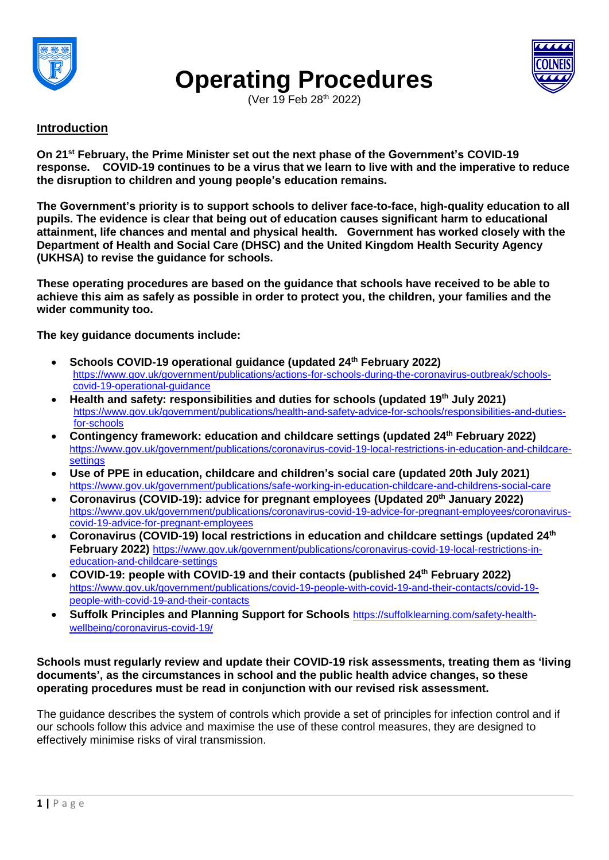

# **Operating Procedures**



(Ver 19 Feb 28<sup>th</sup> 2022)

## **Introduction**

**On 21st February, the Prime Minister set out the next phase of the Government's COVID-19 response. COVID-19 continues to be a virus that we learn to live with and the imperative to reduce the disruption to children and young people's education remains.**

**The Government's priority is to support schools to deliver face-to-face, high-quality education to all pupils. The evidence is clear that being out of education causes significant harm to educational attainment, life chances and mental and physical health. Government has worked closely with the Department of Health and Social Care (DHSC) and the United Kingdom Health Security Agency (UKHSA) to revise the guidance for schools.**

**These operating procedures are based on the guidance that schools have received to be able to** achieve this aim as safely as possible in order to protect you, the children, your families and the **wider community too.**

**The key guidance documents include:**

- **Schools COVID-19 operational guidance (updated 24th February 2022)** [https://www.gov.uk/government/publications/actions-for-schools-during-the-coronavirus-outbreak/schools](https://www.gov.uk/government/publications/actions-for-schools-during-the-coronavirus-outbreak)[covid-19-operational-guidance](https://www.gov.uk/government/publications/actions-for-schools-during-the-coronavirus-outbreak)
- **Health and safety: responsibilities and duties for schools (updated 19th July 2021)** [https://www.gov.uk/government/publications/health-and-safety-advice-for-schools/responsibilities-and-duties](https://www.gov.uk/government/publications/health-and-safety-advice-for-schools/responsibilities-and-duties-for-schools)[for-schools](https://www.gov.uk/government/publications/health-and-safety-advice-for-schools/responsibilities-and-duties-for-schools)
- **Contingency framework: education and childcare settings (updated 24th February 2022)** [https://www.gov.uk/government/publications/coronavirus-covid-19-local-restrictions-in-education-and-childcare](https://www.gov.uk/government/publications/coronavirus-covid-19-local-restrictions-in-education-and-childcare-settings)[settings](https://www.gov.uk/government/publications/coronavirus-covid-19-local-restrictions-in-education-and-childcare-settings)
- **Use of PPE in education, childcare and children's social care (updated 20th July 2021)** <https://www.gov.uk/government/publications/safe-working-in-education-childcare-and-childrens-social-care>
- **Coronavirus (COVID-19): advice for pregnant employees (Updated 20th January 2022)** [https://www.gov.uk/government/publications/coronavirus-covid-19-advice-for-pregnant-employees/coronavirus](https://www.gov.uk/government/publications/coronavirus-covid-19-advice-for-pregnant-employees/coronavirus-covid-19-advice-for-pregnant-employees)[covid-19-advice-for-pregnant-employees](https://www.gov.uk/government/publications/coronavirus-covid-19-advice-for-pregnant-employees/coronavirus-covid-19-advice-for-pregnant-employees)
- **Coronavirus (COVID-19) local restrictions in education and childcare settings (updated 24th February 2022)** [https://www.gov.uk/government/publications/coronavirus-covid-19-local-restrictions-in](https://www.gov.uk/government/publications/coronavirus-covid-19-contingency-framework-for-education-and-childcare-settings/contingency-framework-education-and-childcare-settings-excluding-universities)[education-and-childcare-settings](https://www.gov.uk/government/publications/coronavirus-covid-19-contingency-framework-for-education-and-childcare-settings/contingency-framework-education-and-childcare-settings-excluding-universities)
- **COVID-19: people with COVID-19 and their contacts (published 24th February 2022)** [https://www.gov.uk/government/publications/covid-19-people-with-covid-19-and-their-contacts/covid-19](https://www.gov.uk/government/publications/covid-19-people-with-covid-19-and-their-contacts/covid-19-people-with-covid-19-and-their-contacts) [people-with-covid-19-and-their-contacts](https://www.gov.uk/government/publications/covid-19-people-with-covid-19-and-their-contacts/covid-19-people-with-covid-19-and-their-contacts)
- **Suffolk Principles and Planning Support for Schools** [https://suffolklearning.com/safety-health](https://suffolklearning.com/safety-health-wellbeing/coronavirus-covid-19/)[wellbeing/coronavirus-covid-19/](https://suffolklearning.com/safety-health-wellbeing/coronavirus-covid-19/)

#### **Schools must regularly review and update their COVID-19 risk assessments, treating them as 'living documents', as the circumstances in school and the public health advice changes, so these operating procedures must be read in conjunction with our revised risk assessment.**

The guidance describes the system of controls which provide a set of principles for infection control and if our schools follow this advice and maximise the use of these control measures, they are designed to effectively minimise risks of viral transmission.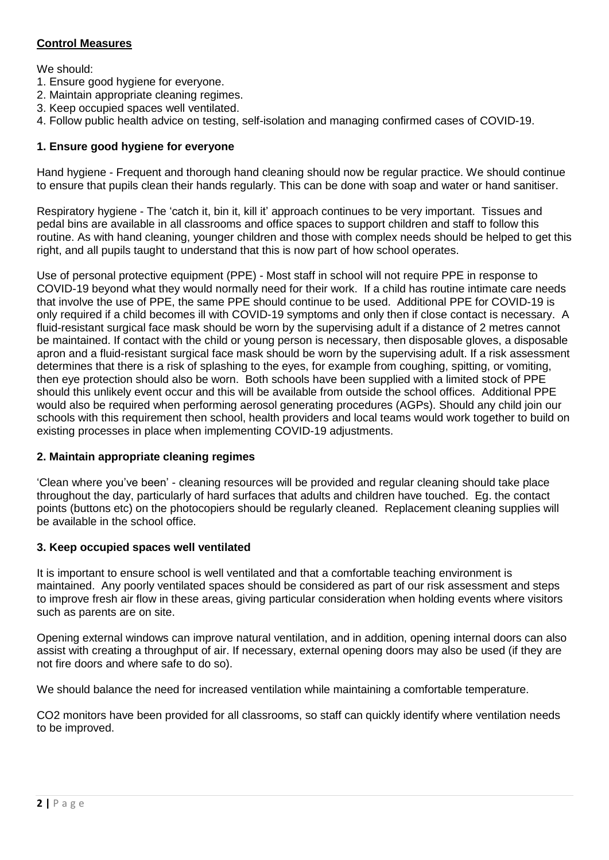## **Control Measures**

We should:

- 1. Ensure good hygiene for everyone.
- 2. Maintain appropriate cleaning regimes.
- 3. Keep occupied spaces well ventilated.
- 4. Follow public health advice on testing, self-isolation and managing confirmed cases of COVID-19.

#### **1. Ensure good hygiene for everyone**

Hand hygiene - Frequent and thorough hand cleaning should now be regular practice. We should continue to ensure that pupils clean their hands regularly. This can be done with soap and water or hand sanitiser.

Respiratory hygiene - The 'catch it, bin it, kill it' approach continues to be very important. Tissues and pedal bins are available in all classrooms and office spaces to support children and staff to follow this routine. As with hand cleaning, younger children and those with complex needs should be helped to get this right, and all pupils taught to understand that this is now part of how school operates.

Use of personal protective equipment (PPE) - Most staff in school will not require PPE in response to COVID-19 beyond what they would normally need for their work. If a child has routine intimate care needs that involve the use of PPE, the same PPE should continue to be used. Additional PPE for COVID-19 is only required if a child becomes ill with COVID-19 symptoms and only then if close contact is necessary. A fluid-resistant surgical face mask should be worn by the supervising adult if a distance of 2 metres cannot be maintained. If contact with the child or young person is necessary, then disposable gloves, a disposable apron and a fluid-resistant surgical face mask should be worn by the supervising adult. If a risk assessment determines that there is a risk of splashing to the eyes, for example from coughing, spitting, or vomiting, then eye protection should also be worn. Both schools have been supplied with a limited stock of PPE should this unlikely event occur and this will be available from outside the school offices. Additional PPE would also be required when performing aerosol generating procedures (AGPs). Should any child join our schools with this requirement then school, health providers and local teams would work together to build on existing processes in place when implementing COVID-19 adjustments.

#### **2. Maintain appropriate cleaning regimes**

'Clean where you've been' - cleaning resources will be provided and regular cleaning should take place throughout the day, particularly of hard surfaces that adults and children have touched. Eg. the contact points (buttons etc) on the photocopiers should be regularly cleaned. Replacement cleaning supplies will be available in the school office.

#### **3. Keep occupied spaces well ventilated**

It is important to ensure school is well ventilated and that a comfortable teaching environment is maintained. Any poorly ventilated spaces should be considered as part of our risk assessment and steps to improve fresh air flow in these areas, giving particular consideration when holding events where visitors such as parents are on site.

Opening external windows can improve natural ventilation, and in addition, opening internal doors can also assist with creating a throughput of air. If necessary, external opening doors may also be used (if they are not fire doors and where safe to do so).

We should balance the need for increased ventilation while maintaining a comfortable temperature.

CO2 monitors have been provided for all classrooms, so staff can quickly identify where ventilation needs to be improved.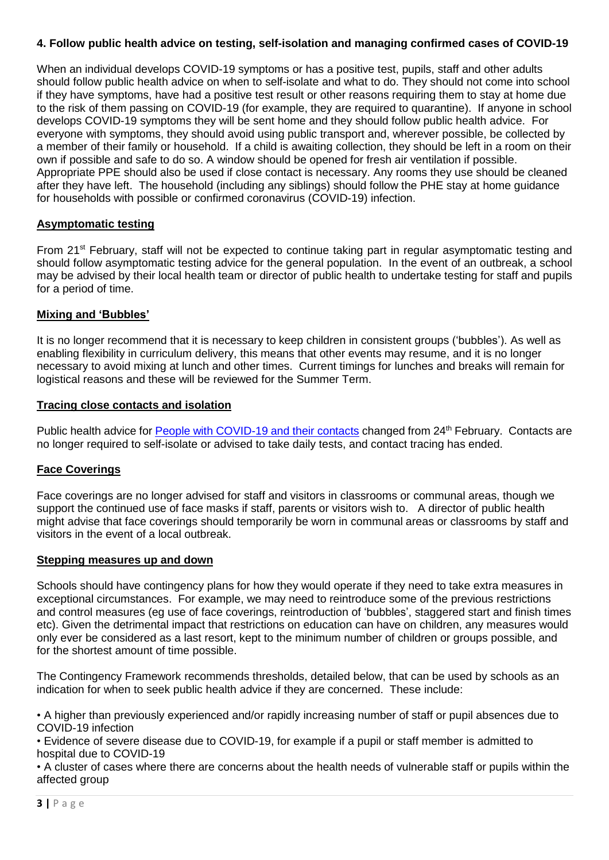## **4. Follow public health advice on testing, self-isolation and managing confirmed cases of COVID-19**

When an individual develops COVID-19 symptoms or has a positive test, pupils, staff and other adults should follow public health advice on when to self-isolate and what to do. They should not come into school if they have symptoms, have had a positive test result or other reasons requiring them to stay at home due to the risk of them passing on COVID-19 (for example, they are required to quarantine). If anyone in school develops COVID-19 symptoms they will be sent home and they should follow public health advice. For everyone with symptoms, they should avoid using public transport and, wherever possible, be collected by a member of their family or household. If a child is awaiting collection, they should be left in a room on their own if possible and safe to do so. A window should be opened for fresh air ventilation if possible. Appropriate PPE should also be used if close contact is necessary. Any rooms they use should be cleaned after they have left. The household (including any siblings) should follow the PHE stay at home guidance for households with possible or confirmed coronavirus (COVID-19) infection.

## **Asymptomatic testing**

From 21<sup>st</sup> February, staff will not be expected to continue taking part in regular asymptomatic testing and should follow asymptomatic testing advice for the general population. In the event of an outbreak, a school may be advised by their local health team or director of public health to undertake testing for staff and pupils for a period of time.

## **Mixing and 'Bubbles'**

It is no longer recommend that it is necessary to keep children in consistent groups ('bubbles'). As well as enabling flexibility in curriculum delivery, this means that other events may resume, and it is no longer necessary to avoid mixing at lunch and other times. Current timings for lunches and breaks will remain for logistical reasons and these will be reviewed for the Summer Term.

## **Tracing close contacts and isolation**

Public health advice for People with [COVID-19](https://www.gov.uk/government/publications/covid-19-people-with-covid-19-and-their-contacts/covid-19-people-with-covid-19-and-their-contacts) and their contacts changed from 24<sup>th</sup> February. Contacts are no longer required to self-isolate or advised to take daily tests, and contact tracing has ended.

## **Face Coverings**

Face coverings are no longer advised for staff and visitors in classrooms or communal areas, though we support the continued use of face masks if staff, parents or visitors wish to. A director of public health might advise that face coverings should temporarily be worn in communal areas or classrooms by staff and visitors in the event of a local outbreak.

## **Stepping measures up and down**

Schools should have contingency plans for how they would operate if they need to take extra measures in exceptional circumstances. For example, we may need to reintroduce some of the previous restrictions and control measures (eg use of face coverings, reintroduction of 'bubbles', staggered start and finish times etc). Given the detrimental impact that restrictions on education can have on children, any measures would only ever be considered as a last resort, kept to the minimum number of children or groups possible, and for the shortest amount of time possible.

The Contingency Framework recommends thresholds, detailed below, that can be used by schools as an indication for when to seek public health advice if they are concerned. These include:

• A higher than previously experienced and/or rapidly increasing number of staff or pupil absences due to COVID-19 infection

• Evidence of severe disease due to COVID-19, for example if a pupil or staff member is admitted to hospital due to COVID-19

• A cluster of cases where there are concerns about the health needs of vulnerable staff or pupils within the affected group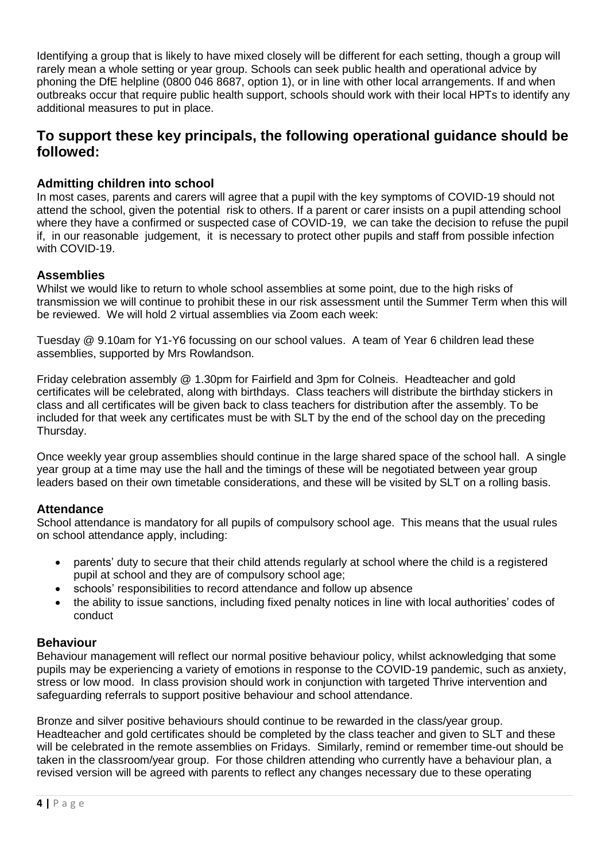Identifying a group that is likely to have mixed closely will be different for each setting, though a group will rarely mean a whole setting or year group. Schools can seek public health and operational advice by phoning the DfE helpline (0800 046 8687, option 1), or in line with other local arrangements. If and when outbreaks occur that require public health support, schools should work with their local HPTs to identify any additional measures to put in place.

# **To support these key principals, the following operational guidance should be followed:**

## **Admitting children into school**

In most cases, parents and carers will agree that a pupil with the key symptoms of COVID-19 should not attend the school, given the potential risk to others. If a parent or carer insists on a pupil attending school where they have a confirmed or suspected case of COVID-19, we can take the decision to refuse the pupil if, in our reasonable judgement, it is necessary to protect other pupils and staff from possible infection with COVID-19.

#### **Assemblies**

Whilst we would like to return to whole school assemblies at some point, due to the high risks of transmission we will continue to prohibit these in our risk assessment until the Summer Term when this will be reviewed. We will hold 2 virtual assemblies via Zoom each week:

Tuesday @ 9.10am for Y1-Y6 focussing on our school values. A team of Year 6 children lead these assemblies, supported by Mrs Rowlandson.

Friday celebration assembly @ 1.30pm for Fairfield and 3pm for Colneis. Headteacher and gold certificates will be celebrated, along with birthdays. Class teachers will distribute the birthday stickers in class and all certificates will be given back to class teachers for distribution after the assembly. To be included for that week any certificates must be with SLT by the end of the school day on the preceding Thursday.

Once weekly year group assemblies should continue in the large shared space of the school hall. A single year group at a time may use the hall and the timings of these will be negotiated between year group leaders based on their own timetable considerations, and these will be visited by SLT on a rolling basis.

## **Attendance**

School attendance is mandatory for all pupils of compulsory school age. This means that the usual rules on school attendance apply, including:

- parents' duty to secure that their child attends regularly at school where the child is a registered pupil at school and they are of compulsory school age;
- schools' responsibilities to record attendance and follow up absence
- the ability to issue sanctions, including fixed penalty notices in line with local authorities' codes of conduct

#### **Behaviour**

Behaviour management will reflect our normal positive behaviour policy, whilst acknowledging that some pupils may be experiencing a variety of emotions in response to the COVID-19 pandemic, such as anxiety, stress or low mood. In class provision should work in conjunction with targeted Thrive intervention and safeguarding referrals to support positive behaviour and school attendance.

Bronze and silver positive behaviours should continue to be rewarded in the class/year group. Headteacher and gold certificates should be completed by the class teacher and given to SLT and these will be celebrated in the remote assemblies on Fridays. Similarly, remind or remember time-out should be taken in the classroom/year group. For those children attending who currently have a behaviour plan, a revised version will be agreed with parents to reflect any changes necessary due to these operating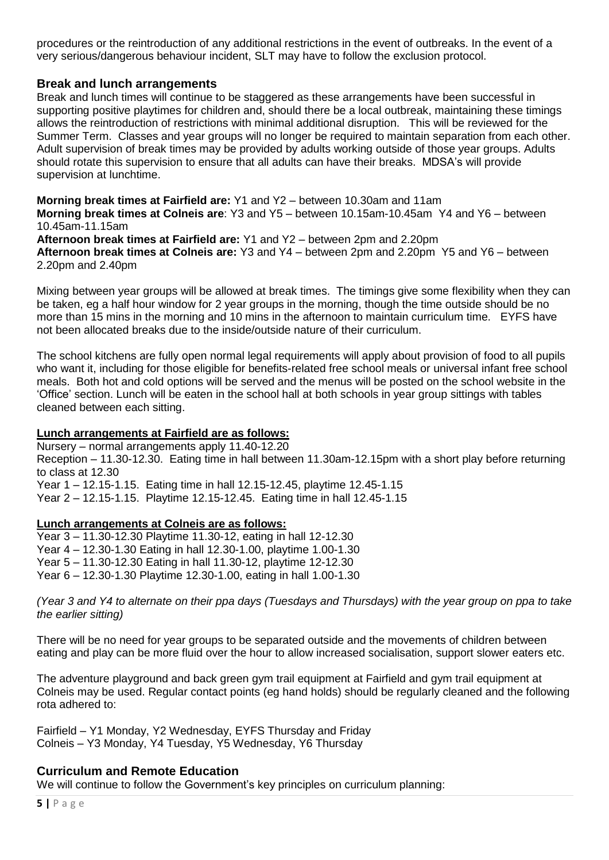procedures or the reintroduction of any additional restrictions in the event of outbreaks. In the event of a very serious/dangerous behaviour incident, SLT may have to follow the exclusion protocol.

#### **Break and lunch arrangements**

Break and lunch times will continue to be staggered as these arrangements have been successful in supporting positive playtimes for children and, should there be a local outbreak, maintaining these timings allows the reintroduction of restrictions with minimal additional disruption. This will be reviewed for the Summer Term. Classes and year groups will no longer be required to maintain separation from each other. Adult supervision of break times may be provided by adults working outside of those year groups. Adults should rotate this supervision to ensure that all adults can have their breaks. MDSA's will provide supervision at lunchtime.

**Morning break times at Fairfield are:** Y1 and Y2 – between 10.30am and 11am **Morning break times at Colneis are**: Y3 and Y5 – between 10.15am-10.45am Y4 and Y6 – between 10.45am-11.15am **Afternoon break times at Fairfield are:** Y1 and Y2 – between 2pm and 2.20pm **Afternoon break times at Colneis are:** Y3 and Y4 – between 2pm and 2.20pm Y5 and Y6 – between 2.20pm and 2.40pm

Mixing between year groups will be allowed at break times. The timings give some flexibility when they can be taken, eg a half hour window for 2 year groups in the morning, though the time outside should be no more than 15 mins in the morning and 10 mins in the afternoon to maintain curriculum time. EYFS have not been allocated breaks due to the inside/outside nature of their curriculum.

The school kitchens are fully open normal legal requirements will apply about provision of food to all pupils who want it, including for those eligible for benefits-related free school meals or universal infant free school meals. Both hot and cold options will be served and the menus will be posted on the school website in the 'Office' section. Lunch will be eaten in the school hall at both schools in year group sittings with tables cleaned between each sitting.

#### **Lunch arrangements at Fairfield are as follows:**

Nursery – normal arrangements apply 11.40-12.20 Reception – 11.30-12.30. Eating time in hall between 11.30am-12.15pm with a short play before returning to class at 12.30 Year 1 – 12.15-1.15. Eating time in hall 12.15-12.45, playtime 12.45-1.15 Year 2 – 12.15-1.15. Playtime 12.15-12.45. Eating time in hall 12.45-1.15

#### **Lunch arrangements at Colneis are as follows:**

Year 3 – 11.30-12.30 Playtime 11.30-12, eating in hall 12-12.30 Year 4 – 12.30-1.30 Eating in hall 12.30-1.00, playtime 1.00-1.30 Year 5 – 11.30-12.30 Eating in hall 11.30-12, playtime 12-12.30 Year 6 – 12.30-1.30 Playtime 12.30-1.00, eating in hall 1.00-1.30

(Year 3 and Y4 to alternate on their ppa days (Tuesdays and Thursdays) with the year group on ppa to take *the earlier sitting)*

There will be no need for year groups to be separated outside and the movements of children between eating and play can be more fluid over the hour to allow increased socialisation, support slower eaters etc.

The adventure playground and back green gym trail equipment at Fairfield and gym trail equipment at Colneis may be used. Regular contact points (eg hand holds) should be regularly cleaned and the following rota adhered to:

Fairfield – Y1 Monday, Y2 Wednesday, EYFS Thursday and Friday Colneis – Y3 Monday, Y4 Tuesday, Y5 Wednesday, Y6 Thursday

#### **Curriculum and Remote Education**

We will continue to follow the Government's key principles on curriculum planning: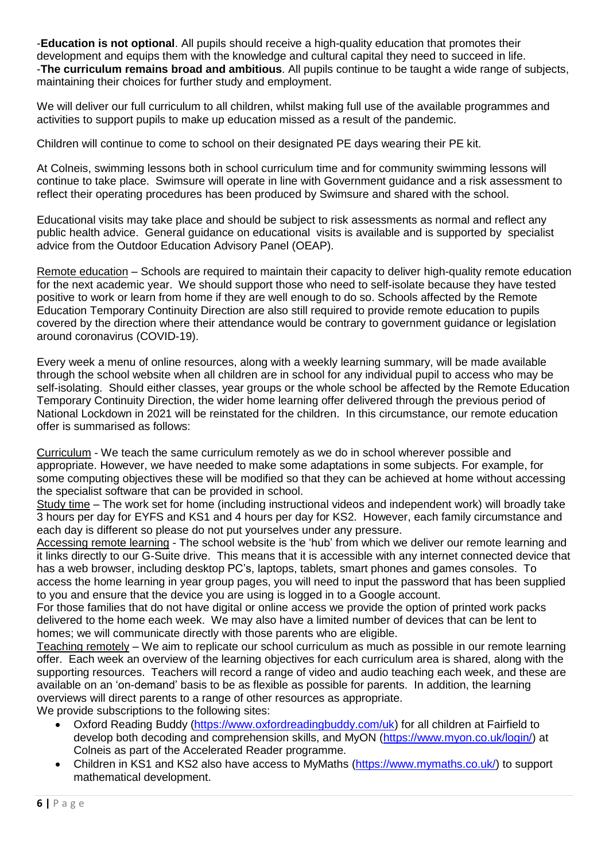-**Education is not optional**. All pupils should receive a high-quality education that promotes their development and equips them with the knowledge and cultural capital they need to succeed in life. -**The curriculum remains broad and ambitious**. All pupils continue to be taught a wide range of subjects, maintaining their choices for further study and employment.

We will deliver our full curriculum to all children, whilst making full use of the available programmes and activities to support pupils to make up education missed as a result of the pandemic.

Children will continue to come to school on their designated PE days wearing their PE kit.

At Colneis, swimming lessons both in school curriculum time and for community swimming lessons will continue to take place. Swimsure will operate in line with Government guidance and a risk assessment to reflect their operating procedures has been produced by Swimsure and shared with the school.

Educational visits may take place and should be subject to risk assessments as normal and reflect any public health advice. General guidance on educational visits is available and is supported by specialist advice from the Outdoor Education Advisory Panel (OEAP).

Remote education – Schools are required to maintain their capacity to deliver high-quality remote education for the next academic year. We should support those who need to self-isolate because they have tested positive to work or learn from home if they are well enough to do so. Schools affected by the Remote Education Temporary Continuity Direction are also still required to provide remote education to pupils covered by the direction where their attendance would be contrary to government guidance or legislation around coronavirus (COVID-19).

Every week a menu of online resources, along with a weekly learning summary, will be made available through the school website when all children are in school for any individual pupil to access who may be self-isolating. Should either classes, year groups or the whole school be affected by the Remote Education Temporary Continuity Direction, the wider home learning offer delivered through the previous period of National Lockdown in 2021 will be reinstated for the children. In this circumstance, our remote education offer is summarised as follows:

Curriculum - We teach the same curriculum remotely as we do in school wherever possible and appropriate. However, we have needed to make some adaptations in some subjects. For example, for some computing objectives these will be modified so that they can be achieved at home without accessing the specialist software that can be provided in school.

Study time – The work set for home (including instructional videos and independent work) will broadly take 3 hours per day for EYFS and KS1 and 4 hours per day for KS2. However, each family circumstance and each day is different so please do not put yourselves under any pressure.

Accessing remote learning - The school website is the 'hub' from which we deliver our remote learning and it links directly to our G-Suite drive. This means that it is accessible with any internet connected device that has a web browser, including desktop PC's, laptops, tablets, smart phones and games consoles. To access the home learning in year group pages, you will need to input the password that has been supplied to you and ensure that the device you are using is logged in to a Google account.

For those families that do not have digital or online access we provide the option of printed work packs delivered to the home each week. We may also have a limited number of devices that can be lent to homes; we will communicate directly with those parents who are eligible.

Teaching remotely – We aim to replicate our school curriculum as much as possible in our remote learning offer. Each week an overview of the learning objectives for each curriculum area is shared, along with the supporting resources. Teachers will record a range of video and audio teaching each week, and these are available on an 'on-demand' basis to be as flexible as possible for parents. In addition, the learning overviews will direct parents to a range of other resources as appropriate.

We provide subscriptions to the following sites:

- Oxford Reading Buddy [\(https://www.oxfordreadingbuddy.com/uk\)](https://www.oxfordreadingbuddy.com/uk) for all children at Fairfield to develop both decoding and comprehension skills, and MyON [\(https://www.myon.co.uk/login/\)](https://www.myon.co.uk/login/) at Colneis as part of the Accelerated Reader programme.
- Children in KS1 and KS2 also have access to MyMaths [\(https://www.mymaths.co.uk/\)](https://www.mymaths.co.uk/) to support mathematical development.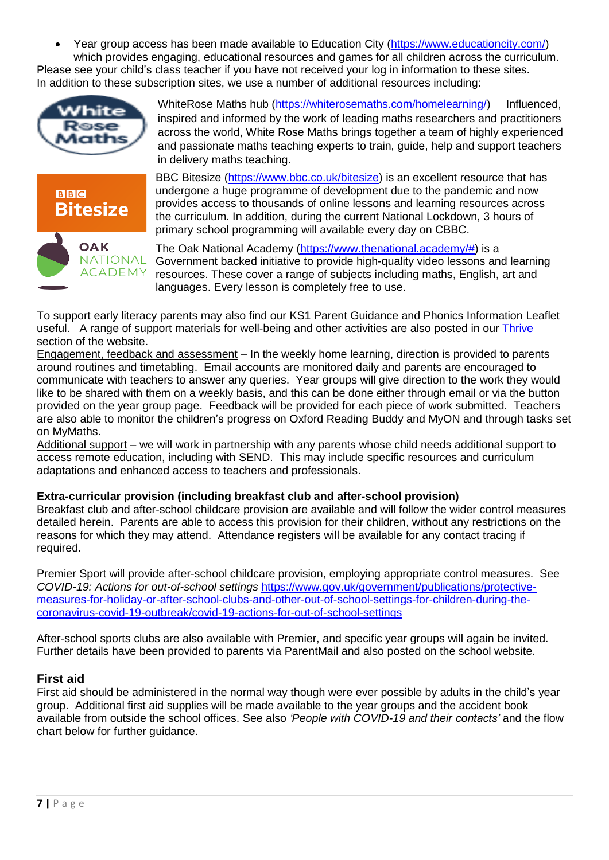Year group access has been made available to Education City [\(https://www.educationcity.com/\)](https://www.educationcity.com/) which provides engaging, educational resources and games for all children across the curriculum.

Please see your child's class teacher if you have not received your log in information to these sites. In addition to these subscription sites, we use a number of additional resources including:



WhiteRose Maths hub [\(https://whiterosemaths.com/homelearning/\)](https://whiterosemaths.com/homelearning/) Influenced, inspired and informed by the work of leading maths researchers and practitioners across the world, White Rose Maths brings together a team of highly experienced and passionate maths teaching experts to train, guide, help and support teachers in delivery maths teaching.



BBC Bitesize [\(https://www.bbc.co.uk/bitesize\)](https://www.bbc.co.uk/bitesize) is an excellent resource that has undergone a huge programme of development due to the pandemic and now provides access to thousands of online lessons and learning resources across the curriculum. In addition, during the current National Lockdown, 3 hours of primary school programming will available every day on CBBC.

The Oak National Academy [\(https://www.thenational.academy/#\)](https://www.thenational.academy/) is a Government backed initiative to provide high-quality video lessons and learning resources. These cover a range of subjects including maths, English, art and languages. Every lesson is completely free to use.

To support early literacy parents may also find our KS1 Parent Guidance and Phonics Information Leaflet useful. A range of support materials for well-being and other activities are also posted in our *[Thrive](https://www.colneisjunior.co.uk/thrive-approach/introduction/)* section of the website.

Engagement, feedback and assessment – In the weekly home learning, direction is provided to parents around routines and timetabling. Email accounts are monitored daily and parents are encouraged to communicate with teachers to answer any queries. Year groups will give direction to the work they would like to be shared with them on a weekly basis, and this can be done either through email or via the button provided on the year group page. Feedback will be provided for each piece of work submitted. Teachers are also able to monitor the children's progress on Oxford Reading Buddy and MyON and through tasks set on MyMaths.

Additional support – we will work in partnership with any parents whose child needs additional support to access remote education, including with SEND. This may include specific resources and curriculum adaptations and enhanced access to teachers and professionals.

## **Extra-curricular provision (including breakfast club and after-school provision)**

Breakfast club and after-school childcare provision are available and will follow the wider control measures detailed herein. Parents are able to access this provision for their children, without any restrictions on the reasons for which they may attend. Attendance registers will be available for any contact tracing if required.

Premier Sport will provide after-school childcare provision, employing appropriate control measures. See *COVID-19: Actions for out-of-school settings* [https://www.gov.uk/government/publications/protective](https://www.gov.uk/government/publications/protective-measures-for-holiday-or-after-school-clubs-and-other-out-of-school-settings-for-children-during-the-coronavirus-covid-19-outbreak/covid-19-actions-for-out-of-school-settings)[measures-for-holiday-or-after-school-clubs-and-other-out-of-school-settings-for-children-during-the](https://www.gov.uk/government/publications/protective-measures-for-holiday-or-after-school-clubs-and-other-out-of-school-settings-for-children-during-the-coronavirus-covid-19-outbreak/covid-19-actions-for-out-of-school-settings)[coronavirus-covid-19-outbreak/covid-19-actions-for-out-of-school-settings](https://www.gov.uk/government/publications/protective-measures-for-holiday-or-after-school-clubs-and-other-out-of-school-settings-for-children-during-the-coronavirus-covid-19-outbreak/covid-19-actions-for-out-of-school-settings)

After-school sports clubs are also available with Premier, and specific year groups will again be invited. Further details have been provided to parents via ParentMail and also posted on the school website.

## **First aid**

First aid should be administered in the normal way though were ever possible by adults in the child's year group. Additional first aid supplies will be made available to the year groups and the accident book available from outside the school offices. See also *'People with COVID-19 and their contacts'* and the flow chart below for further guidance.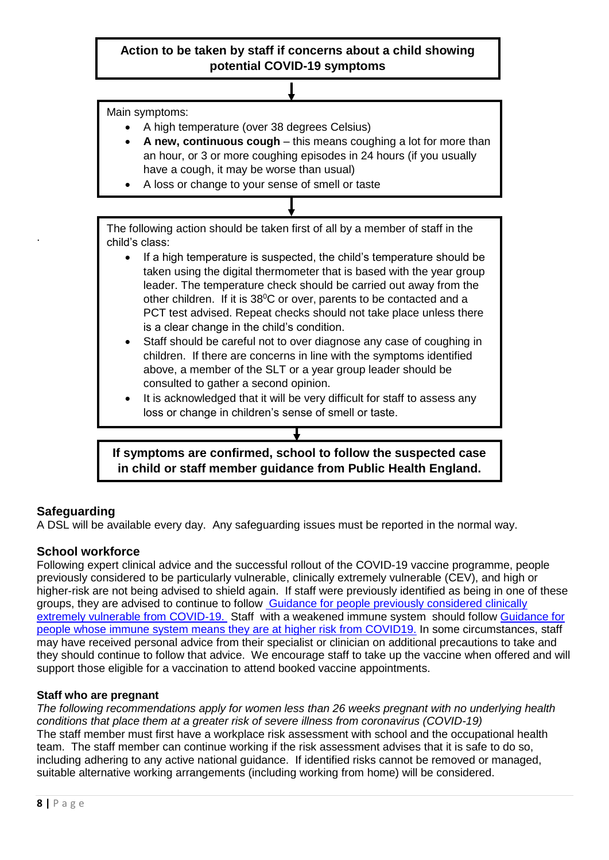Main symptoms:

- A high temperature (over 38 degrees Celsius)
- **A new, continuous cough** this means coughing a lot for more than an hour, or 3 or more coughing episodes in 24 hours (if you usually have a cough, it may be worse than usual)
- A loss or change to your sense of smell or taste

The following action should be taken first of all by a member of staff in the child's class:

- If a high temperature is suspected, the child's temperature should be taken using the digital thermometer that is based with the year group leader. The temperature check should be carried out away from the other children. If it is 38°C or over, parents to be contacted and a PCT test advised. Repeat checks should not take place unless there is a clear change in the child's condition.
- Staff should be careful not to over diagnose any case of coughing in children. If there are concerns in line with the symptoms identified above, a member of the SLT or a year group leader should be consulted to gather a second opinion.
- It is acknowledged that it will be very difficult for staff to assess any loss or change in children's sense of smell or taste.

**If symptoms are confirmed, school to follow the suspected case in child or staff member guidance from Public Health England.**

# **Safeguarding**

.

A DSL will be available every day. Any safeguarding issues must be reported in the normal way.

## **School workforce**

Following expert clinical advice and the successful rollout of the COVID-19 vaccine programme, people previously considered to be particularly vulnerable, clinically extremely vulnerable (CEV), and high or higher-risk are not being advised to shield again. If staff were previously identified as being in one of these groups, they are advised to continue to follow Guidance for people previously [considered](https://www.gov.uk/government/publications/guidance-on-shielding-and-protecting-extremely-vulnerable-persons-from-covid-19/guidance-on-shielding-and-protecting-extremely-vulnerable-persons-from-covid-19) clinically extremely vulnerable from [COVID-19.](https://www.gov.uk/government/publications/guidance-on-shielding-and-protecting-extremely-vulnerable-persons-from-covid-19/guidance-on-shielding-and-protecting-extremely-vulnerable-persons-from-covid-19) Staff with a weakened immune system should follow [Guidance](https://www.gov.uk/government/publications/covid-19-guidance-for-people-whose-immune-system-means-they-are-at-higher-risk/covid-19-guidance-for-people-whose-immune-system-means-they-are-at-higher-risk) for people whose immune system means they are at higher risk from [COVID19.](https://www.gov.uk/government/publications/covid-19-guidance-for-people-whose-immune-system-means-they-are-at-higher-risk/covid-19-guidance-for-people-whose-immune-system-means-they-are-at-higher-risk) In some circumstances, staff may have received personal advice from their specialist or clinician on additional precautions to take and they should continue to follow that advice. We encourage staff to take up the vaccine when offered and will support those eligible for a vaccination to attend booked vaccine appointments.

## **Staff who are pregnant**

*The following recommendations apply for women less than 26 weeks pregnant with no underlying health conditions that place them at a greater risk of severe illness from coronavirus (COVID-19)* The staff member must first have a workplace risk assessment with school and the occupational health team. The staff member can continue working if the risk assessment advises that it is safe to do so, including adhering to any active national guidance. If identified risks cannot be removed or managed, suitable alternative working arrangements (including working from home) will be considered.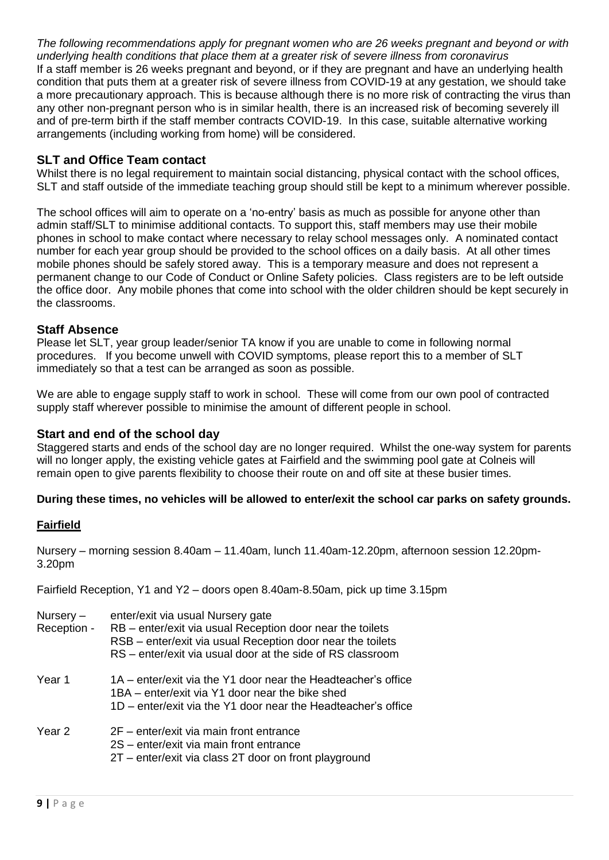*The following recommendations apply for pregnant women who are 26 weeks pregnant and beyond or with underlying health conditions that place them at a greater risk of severe illness from coronavirus* If a staff member is 26 weeks pregnant and beyond, or if they are pregnant and have an underlying health condition that puts them at a greater risk of severe illness from COVID-19 at any gestation, we should take a more precautionary approach. This is because although there is no more risk of contracting the virus than any other non-pregnant person who is in similar health, there is an increased risk of becoming severely ill and of pre-term birth if the staff member contracts COVID-19. In this case, suitable alternative working arrangements (including working from home) will be considered.

## **SLT and Office Team contact**

Whilst there is no legal requirement to maintain social distancing, physical contact with the school offices, SLT and staff outside of the immediate teaching group should still be kept to a minimum wherever possible.

The school offices will aim to operate on a 'no-entry' basis as much as possible for anyone other than admin staff/SLT to minimise additional contacts. To support this, staff members may use their mobile phones in school to make contact where necessary to relay school messages only. A nominated contact number for each year group should be provided to the school offices on a daily basis. At all other times mobile phones should be safely stored away. This is a temporary measure and does not represent a permanent change to our Code of Conduct or Online Safety policies. Class registers are to be left outside the office door. Any mobile phones that come into school with the older children should be kept securely in the classrooms.

#### **Staff Absence**

Please let SLT, year group leader/senior TA know if you are unable to come in following normal procedures. If you become unwell with COVID symptoms, please report this to a member of SLT immediately so that a test can be arranged as soon as possible.

We are able to engage supply staff to work in school. These will come from our own pool of contracted supply staff wherever possible to minimise the amount of different people in school.

#### **Start and end of the school day**

Staggered starts and ends of the school day are no longer required. Whilst the one-way system for parents will no longer apply, the existing vehicle gates at Fairfield and the swimming pool gate at Colneis will remain open to give parents flexibility to choose their route on and off site at these busier times.

#### **During these times, no vehicles will be allowed to enter/exit the school car parks on safety grounds.**

#### **Fairfield**

Nursery – morning session 8.40am – 11.40am, lunch 11.40am-12.20pm, afternoon session 12.20pm-3.20pm

Fairfield Reception, Y1 and Y2 – doors open 8.40am-8.50am, pick up time 3.15pm

| Nursery $-$<br>Reception - | enter/exit via usual Nursery gate<br>RB - enter/exit via usual Reception door near the toilets<br>RSB - enter/exit via usual Reception door near the toilets<br>RS – enter/exit via usual door at the side of RS classroom |
|----------------------------|----------------------------------------------------------------------------------------------------------------------------------------------------------------------------------------------------------------------------|
| Year 1                     | 1A – enter/exit via the Y1 door near the Headteacher's office<br>1BA – enter/exit via Y1 door near the bike shed<br>1D – enter/exit via the Y1 door near the Headteacher's office                                          |
| Year 2                     | 2F – enter/exit via main front entrance<br>2S - enter/exit via main front entrance<br>2T – enter/exit via class 2T door on front playground                                                                                |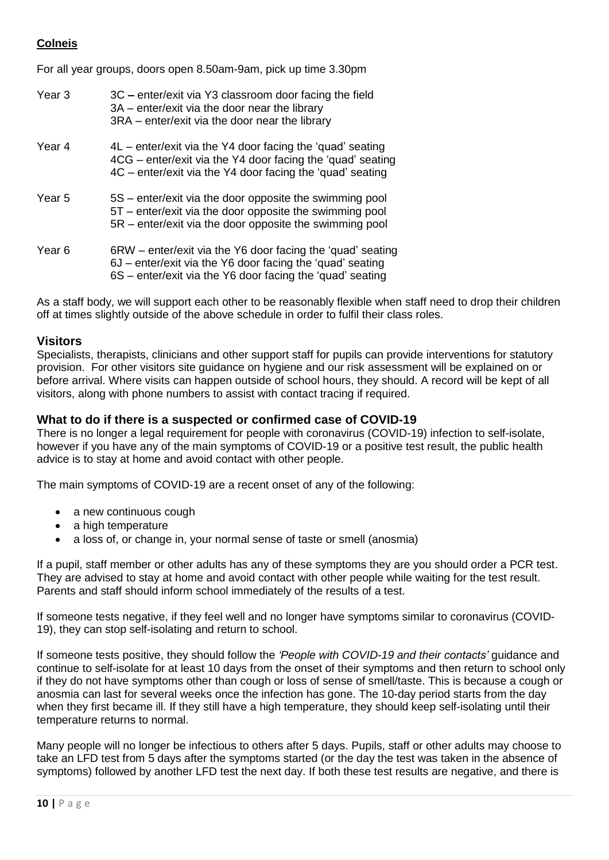## **Colneis**

For all year groups, doors open 8.50am-9am, pick up time 3.30pm

| Year 3 | 3C – enter/exit via Y3 classroom door facing the field<br>3A – enter/exit via the door near the library<br>3RA – enter/exit via the door near the library                              |
|--------|----------------------------------------------------------------------------------------------------------------------------------------------------------------------------------------|
| Year 4 | $4L$ – enter/exit via the Y4 door facing the 'quad' seating<br>4CG – enter/exit via the Y4 door facing the 'quad' seating<br>4C – enter/exit via the Y4 door facing the 'quad' seating |
| Year 5 | 5S – enter/exit via the door opposite the swimming pool<br>5T – enter/exit via the door opposite the swimming pool<br>5R – enter/exit via the door opposite the swimming pool          |
| Year 6 | 6RW – enter/exit via the Y6 door facing the 'quad' seating<br>6J – enter/exit via the Y6 door facing the 'quad' seating<br>6S – enter/exit via the Y6 door facing the 'quad' seating   |

As a staff body, we will support each other to be reasonably flexible when staff need to drop their children off at times slightly outside of the above schedule in order to fulfil their class roles.

## **Visitors**

Specialists, therapists, clinicians and other support staff for pupils can provide interventions for statutory provision. For other visitors site guidance on hygiene and our risk assessment will be explained on or before arrival. Where visits can happen outside of school hours, they should. A record will be kept of all visitors, along with phone numbers to assist with contact tracing if required.

## **What to do if there is a suspected or confirmed case of COVID-19**

There is no longer a legal requirement for people with coronavirus (COVID-19) infection to self-isolate, however if you have any of the main symptoms of COVID-19 or a positive test result, the public health advice is to stay at home and avoid contact with other people.

The main symptoms of COVID-19 are a recent onset of any of the following:

- a new continuous cough
- a high temperature
- a loss of, or change in, your normal sense of taste or smell (anosmia)

If a pupil, staff member or other adults has any of these symptoms they are you should order a PCR test. They are advised to stay at home and avoid contact with other people while waiting for the test result. Parents and staff should inform school immediately of the results of a test.

If someone tests negative, if they feel well and no longer have symptoms similar to coronavirus (COVID-19), they can stop self-isolating and return to school.

If someone tests positive, they should follow the *'People with COVID-19 and their contacts'* guidance and continue to self-isolate for at least 10 days from the onset of their symptoms and then return to school only if they do not have symptoms other than cough or loss of sense of smell/taste. This is because a cough or anosmia can last for several weeks once the infection has gone. The 10-day period starts from the day when they first became ill. If they still have a high temperature, they should keep self-isolating until their temperature returns to normal.

Many people will no longer be infectious to others after 5 days. Pupils, staff or other adults may choose to take an LFD test from 5 days after the symptoms started (or the day the test was taken in the absence of symptoms) followed by another LFD test the next day. If both these test results are negative, and there is